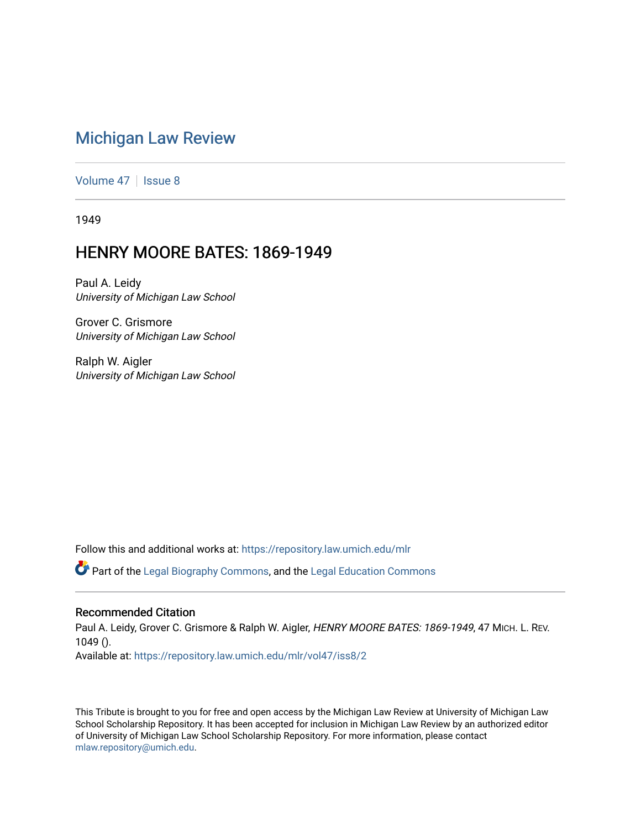## [Michigan Law Review](https://repository.law.umich.edu/mlr)

[Volume 47](https://repository.law.umich.edu/mlr/vol47) | [Issue 8](https://repository.law.umich.edu/mlr/vol47/iss8)

1949

## HENRY MOORE BATES: 1869-1949

Paul A. Leidy University of Michigan Law School

Grover C. Grismore University of Michigan Law School

Ralph W. Aigler University of Michigan Law School

Follow this and additional works at: [https://repository.law.umich.edu/mlr](https://repository.law.umich.edu/mlr?utm_source=repository.law.umich.edu%2Fmlr%2Fvol47%2Fiss8%2F2&utm_medium=PDF&utm_campaign=PDFCoverPages) 

 $\bullet$  Part of the [Legal Biography Commons,](http://network.bepress.com/hgg/discipline/834?utm_source=repository.law.umich.edu%2Fmlr%2Fvol47%2Fiss8%2F2&utm_medium=PDF&utm_campaign=PDFCoverPages) and the Legal Education Commons

#### Recommended Citation

Paul A. Leidy, Grover C. Grismore & Ralph W. Aigler, HENRY MOORE BATES: 1869-1949, 47 MICH. L. REV. 1049 ().

Available at: [https://repository.law.umich.edu/mlr/vol47/iss8/2](https://repository.law.umich.edu/mlr/vol47/iss8/2?utm_source=repository.law.umich.edu%2Fmlr%2Fvol47%2Fiss8%2F2&utm_medium=PDF&utm_campaign=PDFCoverPages)

This Tribute is brought to you for free and open access by the Michigan Law Review at University of Michigan Law School Scholarship Repository. It has been accepted for inclusion in Michigan Law Review by an authorized editor of University of Michigan Law School Scholarship Repository. For more information, please contact [mlaw.repository@umich.edu.](mailto:mlaw.repository@umich.edu)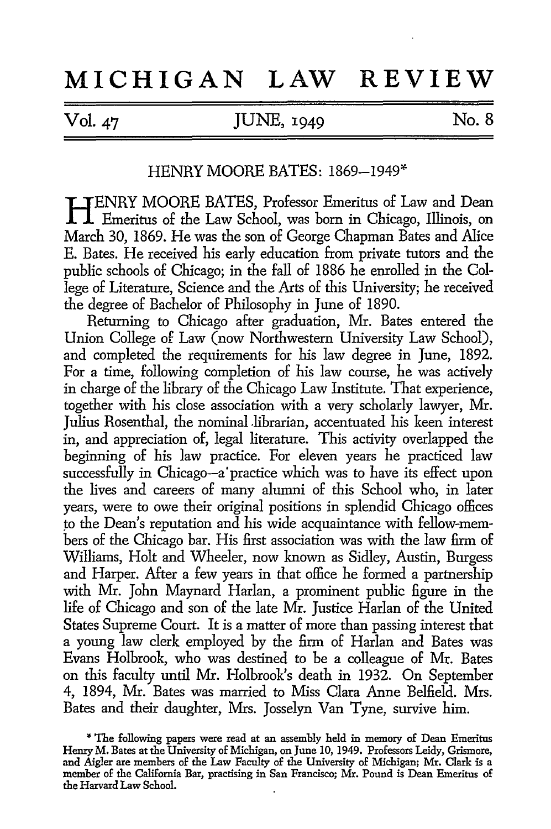# **MICHIGAN LAW REVIEW**

### Vol. 47 JUNE, 1949 No. 8

### HENRY MOORE BATES: 1869-1949\*

**HI FENRY MOORE BATES, Professor Emeritus of Law and Dean** Emeritus of the Law School, was born in Chicago, Illinois, on March 30, 1869. He was the son of George Chapman Bates and Alice E. Bates. He received his early education from private tutors and the public schools of Chicago; in the fall of 1886 he enrolled in the College of Literature, Science and the Arts of this University; he received the degree of Bachelor of Philosophy in June of 1890.

Returning to Chicago after graduation, Mr. Bates entered the Union College of Law (now Northwestern University Law School), and completed the requirements for his law degree in June, 1892. For a time, following completion of his law course, he was actively in charge of the library of the Chicago Law Institute. That experience, together with his close association with a very scholarly lawyer, Mr. Julius Rosenthal, the nominal librarian, accentuated his keen interest in, and appreciation of, legal literature. This activity overlapped the beginning of his law practice. For eleven years he practiced law successfully in Chicago-a'practice which was to have its effect upon the lives and careers of many alumni of this School who, in later years, were to owe their original positions in splendid Chicago offices to the Dean's reputation and his wide acquaintance with fellow-members of the Chicago bar. His first association was with the law firm of Williams, Holt and Wheeler, now known as Sidley, Austin, Burgess and Harper. After a few years in that office he formed a partnership with Mr. John Maynard Harlan, a prominent public figure in the life of Chicago and son of the late Mr. Justice Harlan of the United States Supreme Court. It is a matter of more than passing interest that a young law clerk employed by the firm of Harlan and Bates was Evans Holbrook, who was destined to be a colleague of Mr. Bates on this faculty until Mr. Holbrook's death in 1932. On September 4, 1894, Mr. Bates was married to Miss Clara Anne Belfield. Mrs. Bates and their daughter, Mrs. Josselyn Van Tyne, survive him.

**<sup>\*</sup>** The following papers were read at an assembly held in memory of Dean Emeritus Henry M. Bates at the University of Michigan, on June 10, 1949. Professors Leidy, Grismore, and Aigler are members of the Law Faculty of the University of Michigan; Mr. Clark is a member of the California Bar, practising in San Francisco; Mr. Pound is Dean Emeritus of the Harvard Law School.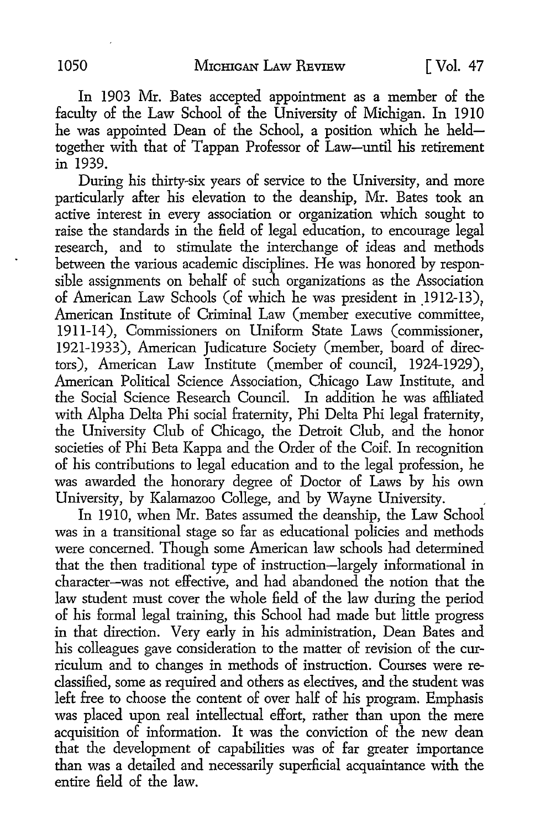In 1903 Mr. Bates accepted appointment as a member of the faculty of the Law School of the University of Michigan. In 1910 he was appointed Dean of the School, a position which he heldtogether with that of Tappan Professor of Law-until his retirement in 1939.

During his thirty-six years of service to the University, and more particularly after his elevation to the deanship, Mr. Bates took an active interest in every association or organization which sought to raise the standards in the field of legal education, to encourage legal research, and to stimulate the interchange of ideas and methods between the various academic disciplines. He was honored by responsible assignments on behalf of such organizations as the Association of American Law Schools (of which he was president in 1912-13), American Institute of Criminal Law (member executive committee, 1911-14), Commissioners on Uniform State Laws (commissioner, 1921-1933), American Judicature Society (member, board of directors), American Law Institute (member of council, 1924-1929), American Political Science Association, Chicago Law Institute, and the Social Science Research Council. In addition he was affiliated with Alpha Delta Phi social fraternity, Phi Delta Phi legal fraternity, the University Club of Chicago, the Detroit Club, and the honor societies of Phi Beta Kappa and the Order of the Coif. In recognition of his contributions to legal education and to the legal profession, he was awarded the honorary degree of Doctor of Laws by his own University, by Kalamazoo College, and by Wayne University.

In 1910, when Mr. Bates assumed the deanship, the Law School was in a transitional stage so far as educational policies and methods were concerned. Though some American law schools had determined that the then traditional type of instruction-largely informational in character-was not effective, and had abandoned the notion that the law student must cover the whole field of the law during the period of his formal legal training, this School had made but little progress in that direction. Very early in his administration, Dean Bates and his colleagues gave consideration to the matter of revision of the curriculum and to changes in methods of instruction. Courses were reclassified, some as required and others as electives, and the student was left free to choose the content of over half of his program. Emphasis was placed upon real intellectual effort, rather than upon the mere acquisition of information. It was the conviction of the new dean that the development of capabilities was of far greater importance than was a detailed and necessarily superficial acquaintance with the entire field of the law.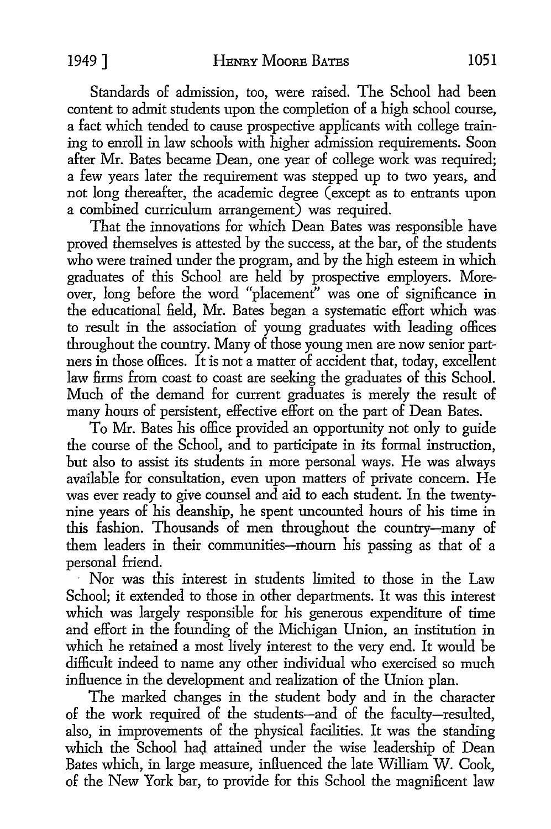Standards of admission, too, were raised. The School had been content to admit students upon the completion of a high school course, a fact which tended to cause prospective applicants with college training to enroll in law schools with higher admission requirements. Soon after Mr. Bates became Dean, one year of college work was required; a few years later the requirement was stepped up to two years, and not long thereafter, the academic degree (except as to entrants upon a combined curriculum arrangement) was required.

That the innovations for which Dean Bates was responsible have proved themselves is attested by the success, at the bar, of the students who were trained under the program, and by the high esteem in which graduates of this School are held by prospective employers. Moreover, long before the word "placement" was one of significance in the educational field, Mr. Bates began a systematic effort which was to result in the association of young graduates with leading offices throughout the country. Many of those young men are now senior partners in those offices. It is not a matter of accident that, today, excellent law firms from coast to coast are seeking the graduates of this School. Much of the demand for current graduates is merely the result of many hours of persistent, effective effort on the part of Dean Bates.

To Mr. Bates his office provided an opportunity not only to guide the course of the School, and to participate in its formal instruction, but also to assist its students in more personal ways. He was always available for consultation, even upon matters of private concern. He was ever ready to give counsel and aid to each student. In the twentynine years of his deanship, he spent uncounted hours of his time in this fashion. Thousands of men throughout the country-many of them leaders in their communities-mourn his passing as that of a personal friend.

Nor was this interest in students limited to those in the Law School; it extended to those in other departments. It was this interest which was largely responsible for his generous expenditure of time and effort in the founding of the Michigan Union, an institution in which he retained a most lively interest to the very end. It would be difficult indeed to name any other individual who exercised so much influence in the development and realization of the Union plan.

The marked changes in the student body and in the character of the work required of the students-and of the faculty-resulted, also, in improvements of the physical facilities. It was the standing which the School had attained under the wise leadership of Dean Bates which, in large measure, influenced the late William W. Cook, of the New York bar, to provide for this School the magnificent law